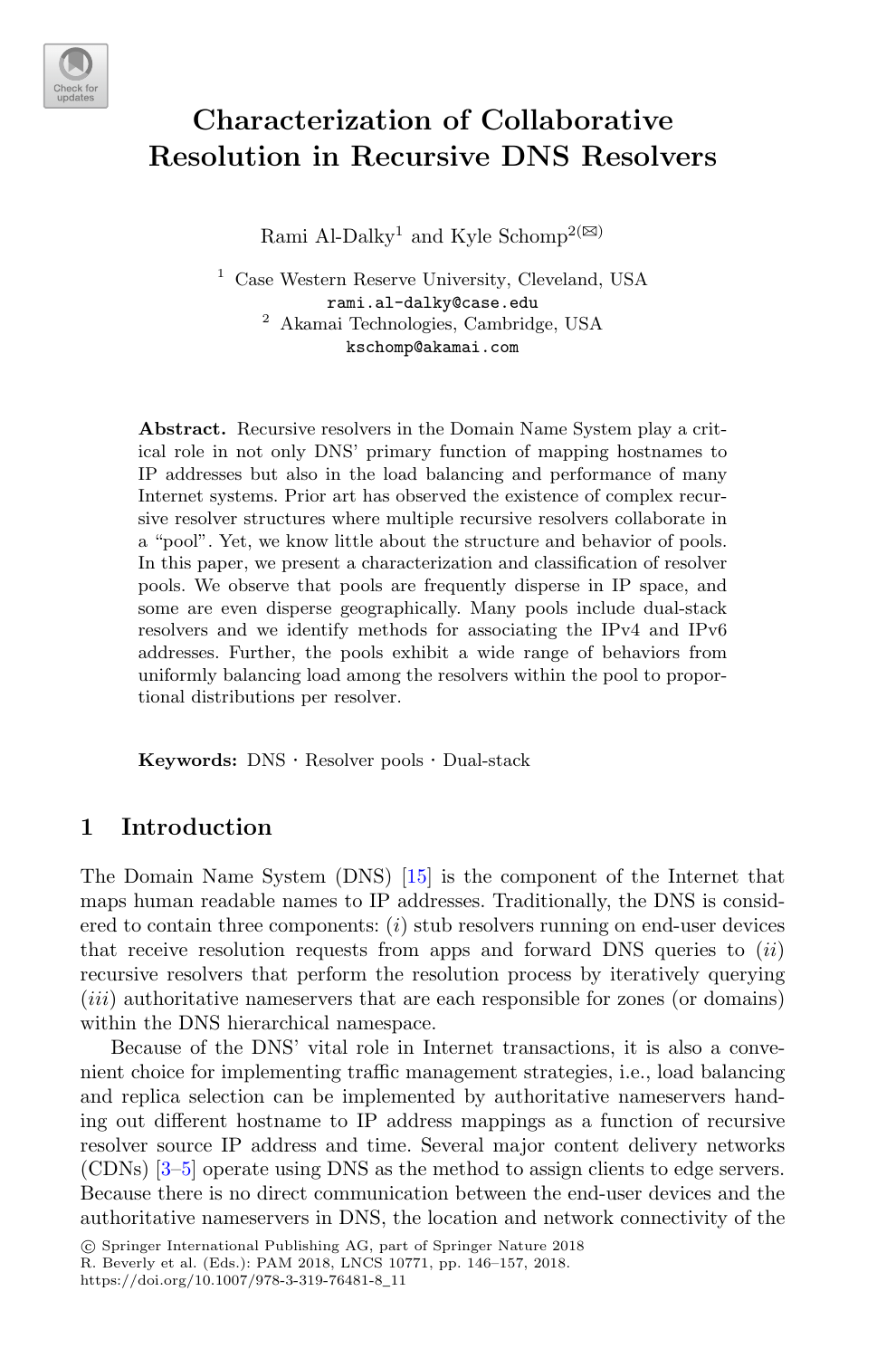

# **Characterization of Collaborative Resolution in Recursive DNS Resolvers**

Rami Al-Dalky<sup>1</sup> and Kyle Schomp<sup>2( $\boxtimes$ )</sub></sup>

<sup>1</sup> Case Western Reserve University, Cleveland, USA rami.al-dalky@case.edu <sup>2</sup> Akamai Technologies, Cambridge, USA kschomp@akamai.com

**Abstract.** Recursive resolvers in the Domain Name System play a critical role in not only DNS' primary function of mapping hostnames to IP addresses but also in the load balancing and performance of many Internet systems. Prior art has observed the existence of complex recursive resolver structures where multiple recursive resolvers collaborate in a "pool". Yet, we know little about the structure and behavior of pools. In this paper, we present a characterization and classification of resolver pools. We observe that pools are frequently disperse in IP space, and some are even disperse geographically. Many pools include dual-stack resolvers and we identify methods for associating the IPv4 and IPv6 addresses. Further, the pools exhibit a wide range of behaviors from uniformly balancing load among the resolvers within the pool to proportional distributions per resolver.

**Keywords:** DNS · Resolver pools · Dual-stack

# **1 Introduction**

The Domain Name System (DNS) [\[15\]](#page-11-0) is the component of the Internet that maps human readable names to IP addresses. Traditionally, the DNS is considered to contain three components:  $(i)$  stub resolvers running on end-user devices that receive resolution requests from apps and forward DNS queries to  $(ii)$ recursive resolvers that perform the resolution process by iteratively querying (*iii*) authoritative nameservers that are each responsible for zones (or domains) within the DNS hierarchical namespace.

Because of the DNS' vital role in Internet transactions, it is also a convenient choice for implementing traffic management strategies, i.e., load balancing and replica selection can be implemented by authoritative nameservers handing out different hostname to IP address mappings as a function of recursive resolver source IP address and time. Several major content delivery networks (CDNs) [\[3](#page-11-1)[–5\]](#page-11-2) operate using DNS as the method to assign clients to edge servers. Because there is no direct communication between the end-user devices and the authoritative nameservers in DNS, the location and network connectivity of the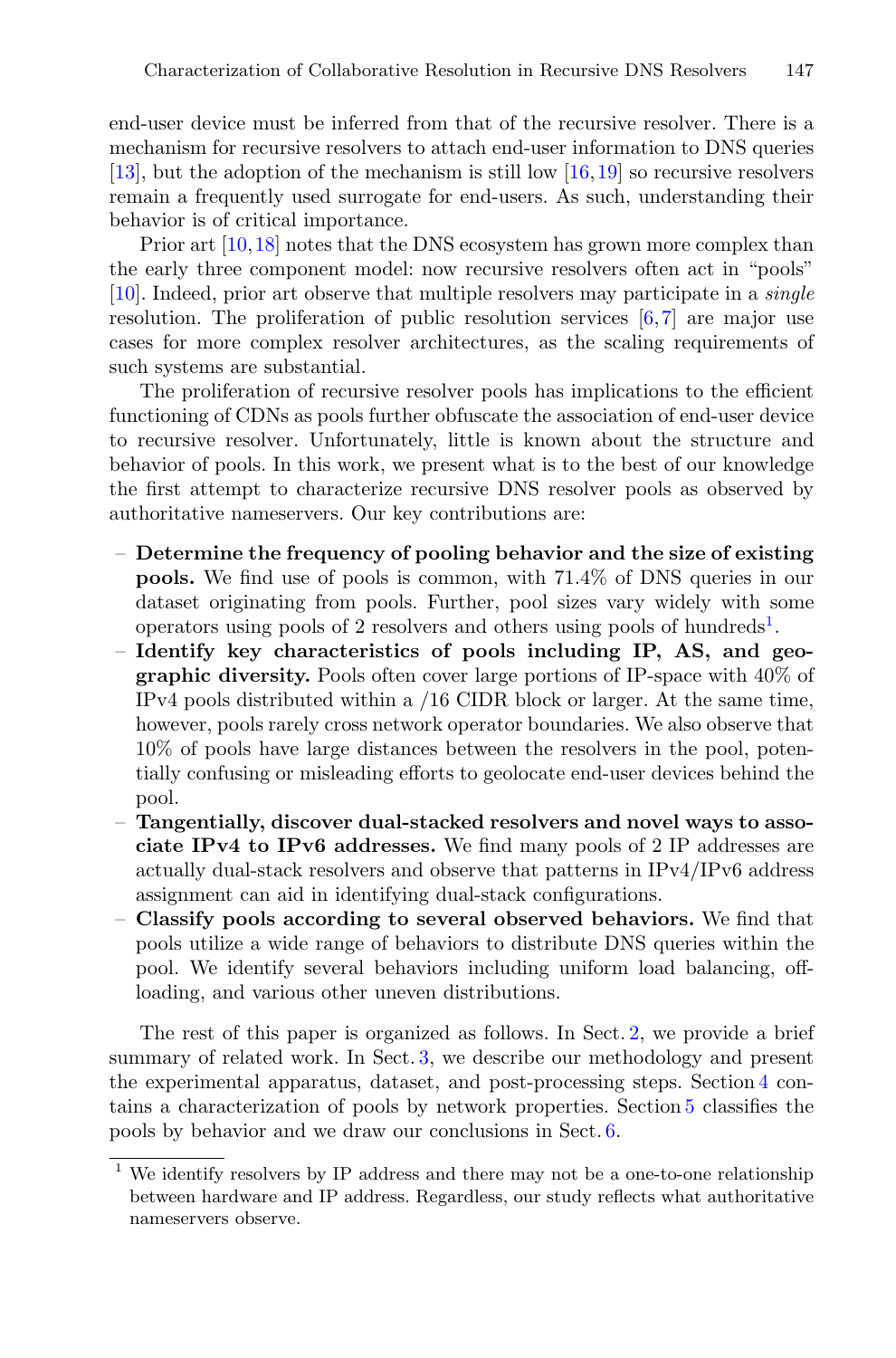end-user device must be inferred from that of the recursive resolver. There is a mechanism for recursive resolvers to attach end-user information to DNS queries [\[13](#page-11-3)], but the adoption of the mechanism is still low [\[16](#page-11-4)[,19](#page-11-5)] so recursive resolvers remain a frequently used surrogate for end-users. As such, understanding their behavior is of critical importance.

Prior art [\[10](#page-11-6)[,18\]](#page-11-7) notes that the DNS ecosystem has grown more complex than the early three component model: now recursive resolvers often act in "pools" [\[10](#page-11-6)]. Indeed, prior art observe that multiple resolvers may participate in a *single* resolution. The proliferation of public resolution services [\[6,](#page-11-8)[7\]](#page-11-9) are major use cases for more complex resolver architectures, as the scaling requirements of such systems are substantial.

The proliferation of recursive resolver pools has implications to the efficient functioning of CDNs as pools further obfuscate the association of end-user device to recursive resolver. Unfortunately, little is known about the structure and behavior of pools. In this work, we present what is to the best of our knowledge the first attempt to characterize recursive DNS resolver pools as observed by authoritative nameservers. Our key contributions are:

- **Determine the frequency of pooling behavior and the size of existing pools.** We find use of pools is common, with 71.4% of DNS queries in our dataset originating from pools. Further, pool sizes vary widely with some operators using pools of 2 resolvers and others using pools of hundreds<sup>[1](#page-1-0)</sup>.
- **Identify key characteristics of pools including IP, AS, and geographic diversity.** Pools often cover large portions of IP-space with 40% of IPv4 pools distributed within a /16 CIDR block or larger. At the same time, however, pools rarely cross network operator boundaries. We also observe that 10% of pools have large distances between the resolvers in the pool, potentially confusing or misleading efforts to geolocate end-user devices behind the pool.
- **Tangentially, discover dual-stacked resolvers and novel ways to associate IPv4 to IPv6 addresses.** We find many pools of 2 IP addresses are actually dual-stack resolvers and observe that patterns in IPv4/IPv6 address assignment can aid in identifying dual-stack configurations.
- **Classify pools according to several observed behaviors.** We find that pools utilize a wide range of behaviors to distribute DNS queries within the pool. We identify several behaviors including uniform load balancing, offloading, and various other uneven distributions.

The rest of this paper is organized as follows. In Sect. [2,](#page-2-0) we provide a brief summary of related work. In Sect. [3,](#page-2-1) we describe our methodology and present the experimental apparatus, dataset, and post-processing steps. Section [4](#page-4-0) contains a characterization of pools by network properties. Section [5](#page-7-0) classifies the pools by behavior and we draw our conclusions in Sect. [6.](#page-10-0)

<span id="page-1-0"></span>We identify resolvers by IP address and there may not be a one-to-one relationship between hardware and IP address. Regardless, our study reflects what authoritative nameservers observe.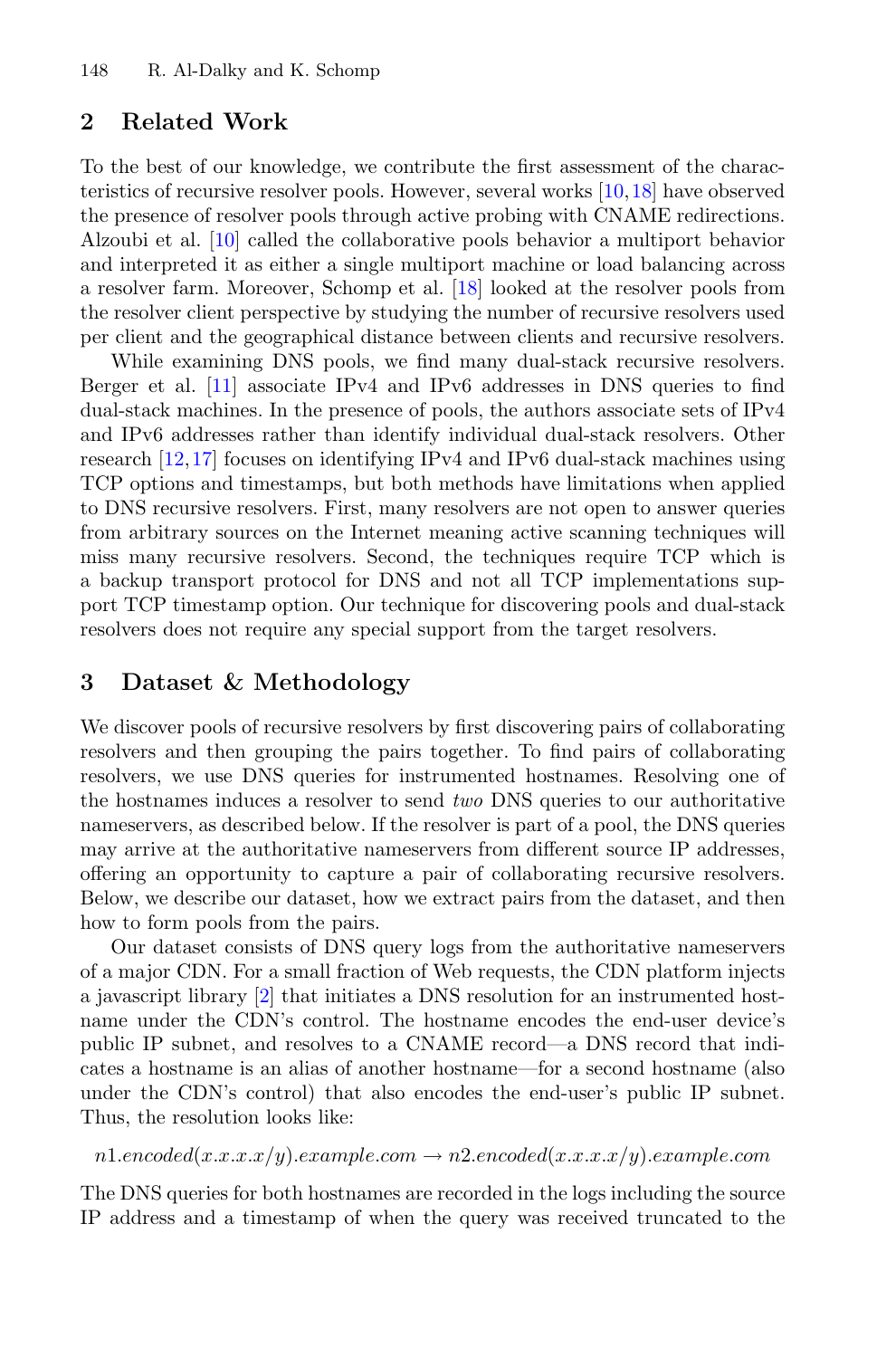### <span id="page-2-0"></span>**2 Related Work**

To the best of our knowledge, we contribute the first assessment of the characteristics of recursive resolver pools. However, several works [\[10](#page-11-6),[18\]](#page-11-7) have observed the presence of resolver pools through active probing with CNAME redirections. Alzoubi et al. [\[10](#page-11-6)] called the collaborative pools behavior a multiport behavior and interpreted it as either a single multiport machine or load balancing across a resolver farm. Moreover, Schomp et al. [\[18](#page-11-7)] looked at the resolver pools from the resolver client perspective by studying the number of recursive resolvers used per client and the geographical distance between clients and recursive resolvers.

While examining DNS pools, we find many dual-stack recursive resolvers. Berger et al. [\[11\]](#page-11-10) associate IPv4 and IPv6 addresses in DNS queries to find dual-stack machines. In the presence of pools, the authors associate sets of IPv4 and IPv6 addresses rather than identify individual dual-stack resolvers. Other research [\[12](#page-11-11)[,17](#page-11-12)] focuses on identifying IPv4 and IPv6 dual-stack machines using TCP options and timestamps, but both methods have limitations when applied to DNS recursive resolvers. First, many resolvers are not open to answer queries from arbitrary sources on the Internet meaning active scanning techniques will miss many recursive resolvers. Second, the techniques require TCP which is a backup transport protocol for DNS and not all TCP implementations support TCP timestamp option. Our technique for discovering pools and dual-stack resolvers does not require any special support from the target resolvers.

#### <span id="page-2-1"></span>**3 Dataset & Methodology**

We discover pools of recursive resolvers by first discovering pairs of collaborating resolvers and then grouping the pairs together. To find pairs of collaborating resolvers, we use DNS queries for instrumented hostnames. Resolving one of the hostnames induces a resolver to send *two* DNS queries to our authoritative nameservers, as described below. If the resolver is part of a pool, the DNS queries may arrive at the authoritative nameservers from different source IP addresses, offering an opportunity to capture a pair of collaborating recursive resolvers. Below, we describe our dataset, how we extract pairs from the dataset, and then how to form pools from the pairs.

Our dataset consists of DNS query logs from the authoritative nameservers of a major CDN. For a small fraction of Web requests, the CDN platform injects a javascript library [\[2](#page-11-13)] that initiates a DNS resolution for an instrumented hostname under the CDN's control. The hostname encodes the end-user device's public IP subnet, and resolves to a CNAME record—a DNS record that indicates a hostname is an alias of another hostname—for a second hostname (also under the CDN's control) that also encodes the end-user's public IP subnet. Thus, the resolution looks like:

#### $n1. encoded(x.x.x.x/y).example.com \rightarrow n2. encoded(x.x.x.x/y).example.com$

The DNS queries for both hostnames are recorded in the logs including the source IP address and a timestamp of when the query was received truncated to the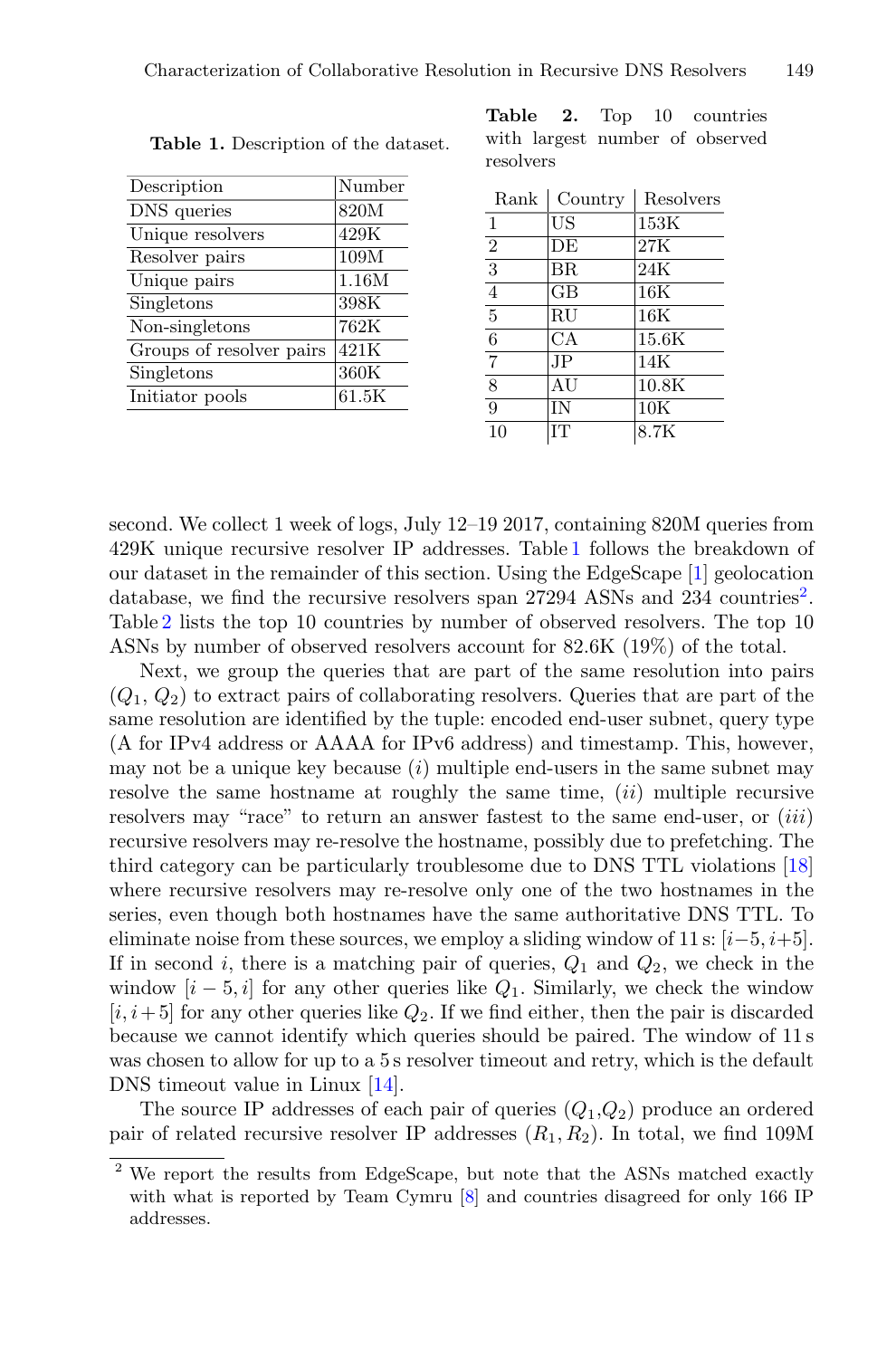| Description                      | Number |
|----------------------------------|--------|
| DNS queries                      | 820M   |
| Unique resolvers                 | 429K   |
| Resolver pairs                   | 109M   |
| Unique pairs                     | 1.16M  |
| Singletons                       | 398K   |
| $\overline{\text{Non-singular}}$ | 762K   |
| Groups of resolver pairs         | 421K   |
| Singletons                       | 360K   |
| Initiator pools                  | 61.5K  |
|                                  |        |

<span id="page-3-0"></span>**Table 1.** Description of the dataset.

<span id="page-3-2"></span>**Table 2.** Top 10 countries with largest number of observed resolvers

| Rank           | Country                | Resolvers        |
|----------------|------------------------|------------------|
| 1              | US                     | 153K             |
| $\overline{2}$ | DE                     | 27K              |
| $\overline{3}$ | ΒR                     | 24K              |
| $\overline{4}$ | GB                     | 16K              |
| $\overline{5}$ | $\mathbf{R}\mathbf{U}$ | 16K              |
| $\overline{6}$ | CА                     | $15.6\mathrm{K}$ |
| $\overline{7}$ | $_{\rm JP}$            | 14K              |
| 8              | AU                     | 10.8K            |
| $\overline{9}$ | IN                     | $\overline{10K}$ |
| 10             | ĪТ                     | 8.7K             |

second. We collect 1 week of logs, July 12–19 2017, containing 820M queries from 429K unique recursive resolver IP addresses. Table [1](#page-3-0) follows the breakdown of our dataset in the remainder of this section. Using the EdgeScape [\[1\]](#page-11-14) geolocation database, we find the recursive resolvers span  $27294$  $27294$  ASNs and  $234$  countries<sup>2</sup>. Table [2](#page-3-2) lists the top 10 countries by number of observed resolvers. The top 10 ASNs by number of observed resolvers account for 82.6K (19%) of the total.

Next, we group the queries that are part of the same resolution into pairs  $(Q_1, Q_2)$  to extract pairs of collaborating resolvers. Queries that are part of the same resolution are identified by the tuple: encoded end-user subnet, query type (A for IPv4 address or AAAA for IPv6 address) and timestamp. This, however, may not be a unique key because  $(i)$  multiple end-users in the same subnet may resolve the same hostname at roughly the same time,  $(ii)$  multiple recursive resolvers may "race" to return an answer fastest to the same end-user, or (iii) recursive resolvers may re-resolve the hostname, possibly due to prefetching. The third category can be particularly troublesome due to DNS TTL violations [\[18\]](#page-11-7) where recursive resolvers may re-resolve only one of the two hostnames in the series, even though both hostnames have the same authoritative DNS TTL. To eliminate noise from these sources, we employ a sliding window of 11 s:  $[i-5, i+5]$ . If in second i, there is a matching pair of queries,  $Q_1$  and  $Q_2$ , we check in the window  $[i - 5, i]$  for any other queries like  $Q_1$ . Similarly, we check the window  $[i, i+5]$  for any other queries like  $Q_2$ . If we find either, then the pair is discarded because we cannot identify which queries should be paired. The window of 11 s was chosen to allow for up to a 5 s resolver timeout and retry, which is the default DNS timeout value in Linux [\[14](#page-11-15)].

The source IP addresses of each pair of queries  $(Q_1, Q_2)$  produce an ordered pair of related recursive resolver IP addresses  $(R_1, R_2)$ . In total, we find 109M

<span id="page-3-1"></span>We report the results from EdgeScape, but note that the ASNs matched exactly with what is reported by Team Cymru [\[8\]](#page-11-16) and countries disagreed for only 166 IP addresses.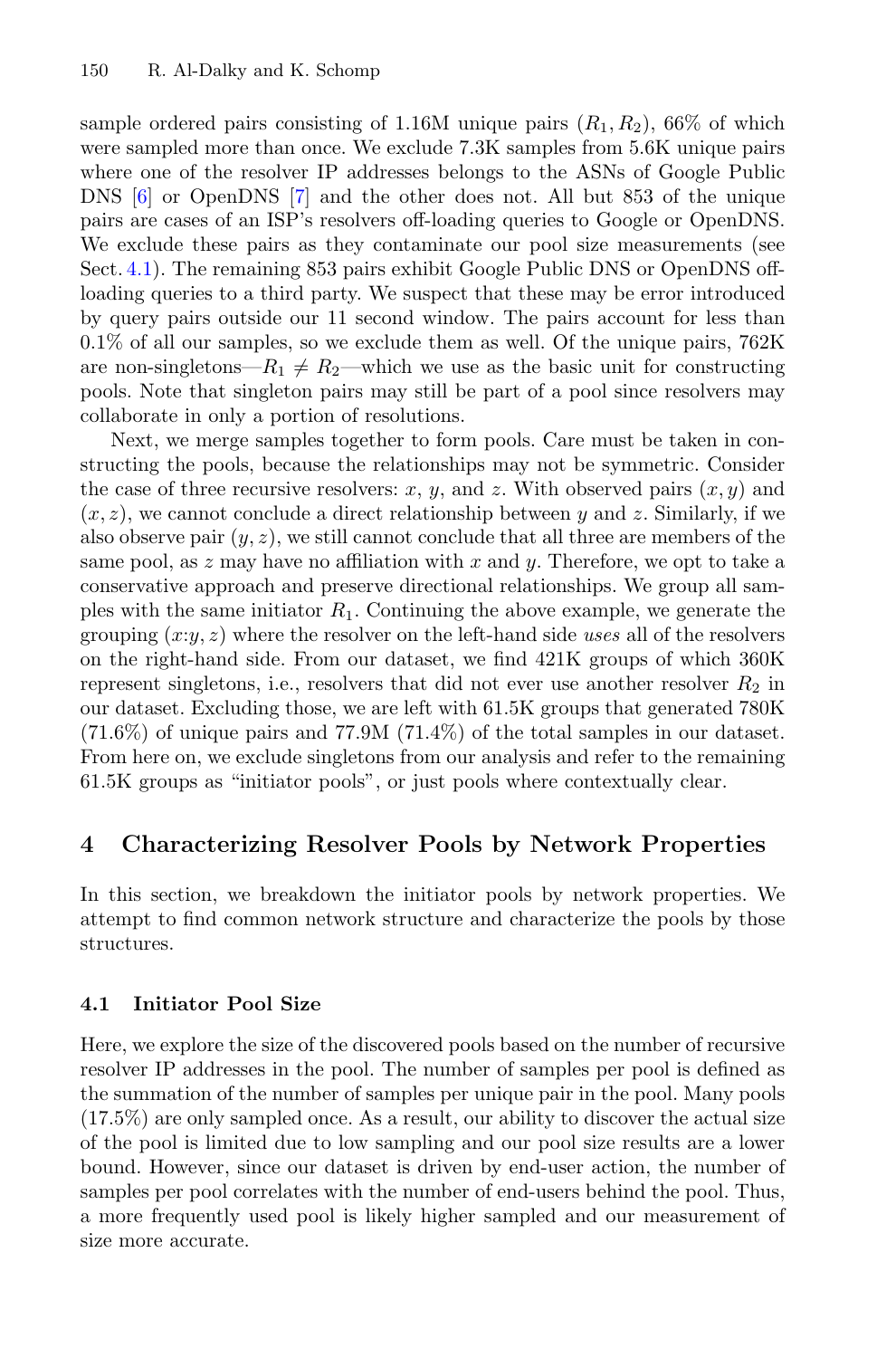sample ordered pairs consisting of 1.16M unique pairs  $(R_1, R_2)$ , 66% of which were sampled more than once. We exclude 7.3K samples from 5.6K unique pairs where one of the resolver IP addresses belongs to the ASNs of Google Public DNS [\[6](#page-11-8)] or OpenDNS [\[7\]](#page-11-9) and the other does not. All but 853 of the unique pairs are cases of an ISP's resolvers off-loading queries to Google or OpenDNS. We exclude these pairs as they contaminate our pool size measurements (see Sect. [4.1\)](#page-4-1). The remaining 853 pairs exhibit Google Public DNS or OpenDNS offloading queries to a third party. We suspect that these may be error introduced by query pairs outside our 11 second window. The pairs account for less than 0.1% of all our samples, so we exclude them as well. Of the unique pairs, 762K are non-singletons— $R_1 \neq R_2$ —which we use as the basic unit for constructing pools. Note that singleton pairs may still be part of a pool since resolvers may collaborate in only a portion of resolutions.

Next, we merge samples together to form pools. Care must be taken in constructing the pools, because the relationships may not be symmetric. Consider the case of three recursive resolvers: x, y, and z. With observed pairs  $(x, y)$  and  $(x, z)$ , we cannot conclude a direct relationship between y and z. Similarly, if we also observe pair  $(y, z)$ , we still cannot conclude that all three are members of the same pool, as  $z$  may have no affiliation with  $x$  and  $y$ . Therefore, we opt to take a conservative approach and preserve directional relationships. We group all samples with the same initiator  $R_1$ . Continuing the above example, we generate the grouping (x:y, <sup>z</sup>) where the resolver on the left-hand side *uses* all of the resolvers on the right-hand side. From our dataset, we find 421K groups of which 360K represent singletons, i.e., resolvers that did not ever use another resolver  $R_2$  in our dataset. Excluding those, we are left with 61.5K groups that generated 780K (71.6%) of unique pairs and 77.9M (71.4%) of the total samples in our dataset. From here on, we exclude singletons from our analysis and refer to the remaining 61.5K groups as "initiator pools", or just pools where contextually clear.

## <span id="page-4-0"></span>**4 Characterizing Resolver Pools by Network Properties**

In this section, we breakdown the initiator pools by network properties. We attempt to find common network structure and characterize the pools by those structures.

#### <span id="page-4-1"></span>**4.1 Initiator Pool Size**

Here, we explore the size of the discovered pools based on the number of recursive resolver IP addresses in the pool. The number of samples per pool is defined as the summation of the number of samples per unique pair in the pool. Many pools (17.5%) are only sampled once. As a result, our ability to discover the actual size of the pool is limited due to low sampling and our pool size results are a lower bound. However, since our dataset is driven by end-user action, the number of samples per pool correlates with the number of end-users behind the pool. Thus, a more frequently used pool is likely higher sampled and our measurement of size more accurate.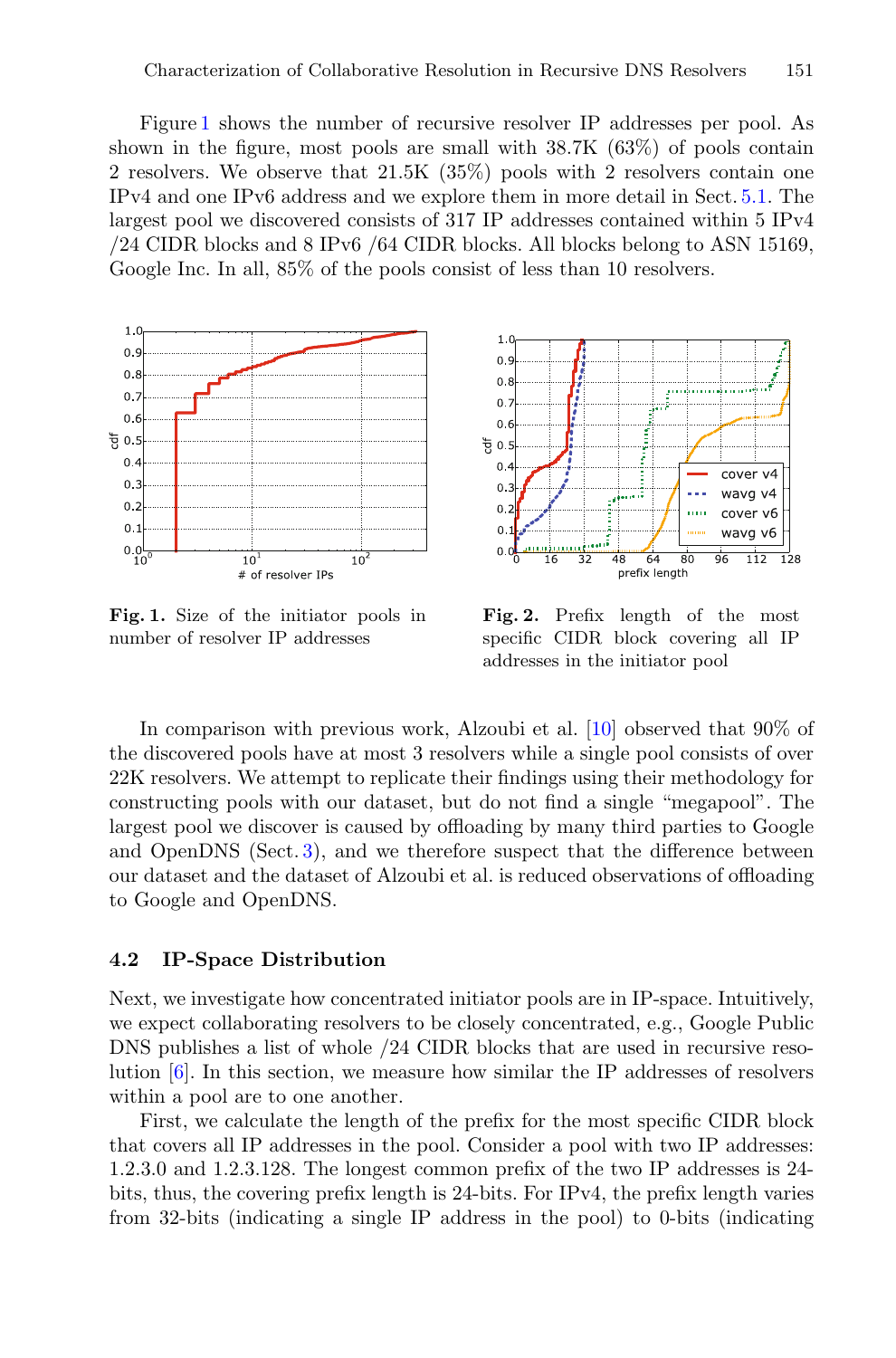Figure [1](#page-5-0) shows the number of recursive resolver IP addresses per pool. As shown in the figure, most pools are small with 38.7K (63%) of pools contain 2 resolvers. We observe that 21.5K (35%) pools with 2 resolvers contain one IPv4 and one IPv6 address and we explore them in more detail in Sect. [5.1.](#page-8-0) The largest pool we discovered consists of 317 IP addresses contained within 5 IPv4 /24 CIDR blocks and 8 IPv6 /64 CIDR blocks. All blocks belong to ASN 15169, Google Inc. In all, 85% of the pools consist of less than 10 resolvers.



<span id="page-5-0"></span>**Fig. 1.** Size of the initiator pools in number of resolver IP addresses



<span id="page-5-1"></span>**Fig. 2.** Prefix length of the most specific CIDR block covering all IP addresses in the initiator pool

In comparison with previous work, Alzoubi et al. [\[10](#page-11-6)] observed that 90% of the discovered pools have at most 3 resolvers while a single pool consists of over 22K resolvers. We attempt to replicate their findings using their methodology for constructing pools with our dataset, but do not find a single "megapool". The largest pool we discover is caused by offloading by many third parties to Google and OpenDNS (Sect. [3\)](#page-2-1), and we therefore suspect that the difference between our dataset and the dataset of Alzoubi et al. is reduced observations of offloading to Google and OpenDNS.

#### **4.2 IP-Space Distribution**

Next, we investigate how concentrated initiator pools are in IP-space. Intuitively, we expect collaborating resolvers to be closely concentrated, e.g., Google Public DNS publishes a list of whole /24 CIDR blocks that are used in recursive resolution  $[6]$  $[6]$ . In this section, we measure how similar the IP addresses of resolvers within a pool are to one another.

First, we calculate the length of the prefix for the most specific CIDR block that covers all IP addresses in the pool. Consider a pool with two IP addresses: 1.2.3.0 and 1.2.3.128. The longest common prefix of the two IP addresses is 24 bits, thus, the covering prefix length is 24-bits. For IPv4, the prefix length varies from 32-bits (indicating a single IP address in the pool) to 0-bits (indicating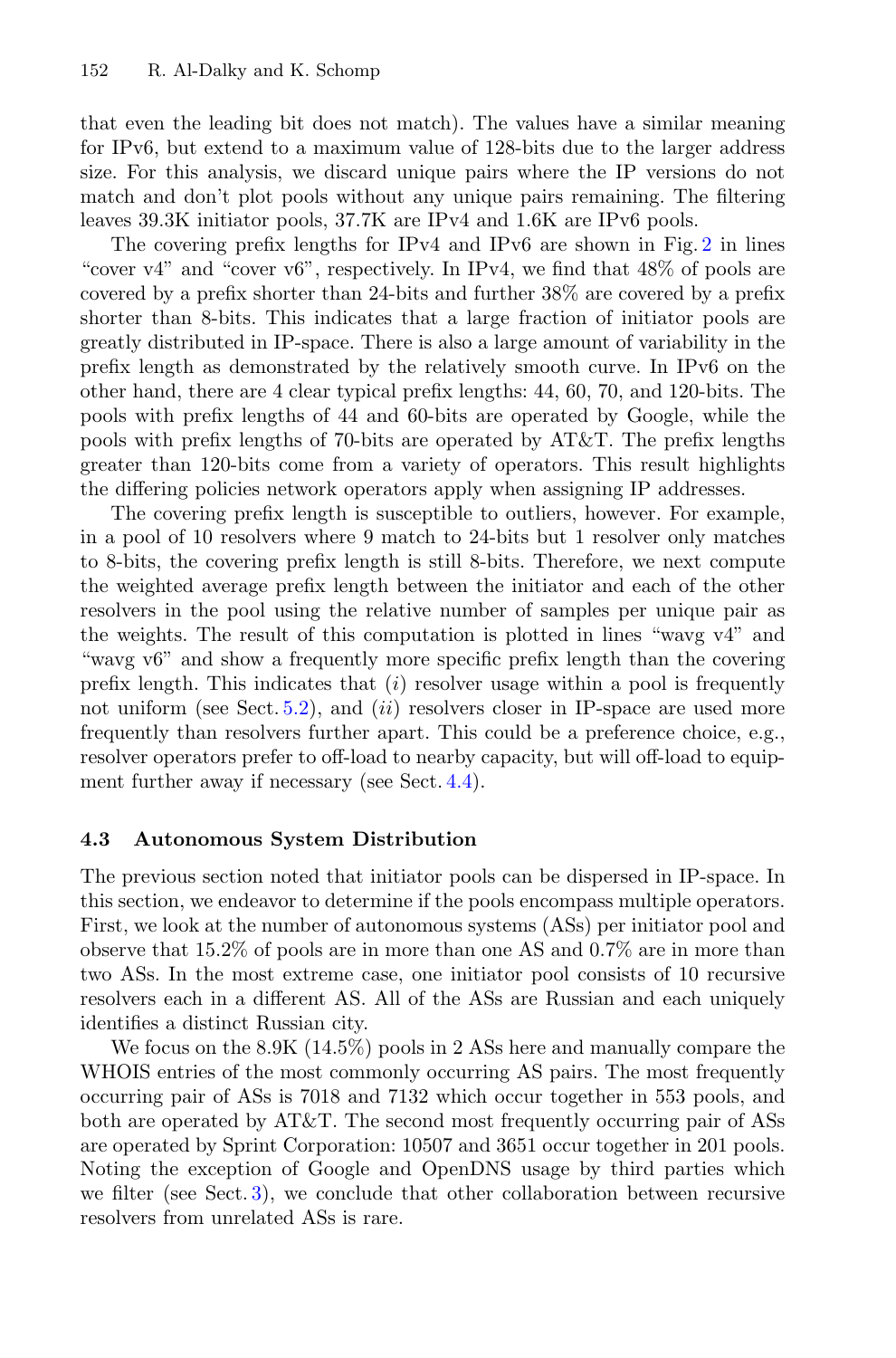that even the leading bit does not match). The values have a similar meaning for IPv6, but extend to a maximum value of 128-bits due to the larger address size. For this analysis, we discard unique pairs where the IP versions do not match and don't plot pools without any unique pairs remaining. The filtering leaves 39.3K initiator pools, 37.7K are IPv4 and 1.6K are IPv6 pools.

The covering prefix lengths for IPv4 and IPv6 are shown in Fig. [2](#page-5-1) in lines "cover  $v4$ " and "cover  $v6$ ", respectively. In IPv4, we find that  $48\%$  of pools are covered by a prefix shorter than 24-bits and further 38% are covered by a prefix shorter than 8-bits. This indicates that a large fraction of initiator pools are greatly distributed in IP-space. There is also a large amount of variability in the prefix length as demonstrated by the relatively smooth curve. In IPv6 on the other hand, there are 4 clear typical prefix lengths: 44, 60, 70, and 120-bits. The pools with prefix lengths of 44 and 60-bits are operated by Google, while the pools with prefix lengths of 70-bits are operated by AT&T. The prefix lengths greater than 120-bits come from a variety of operators. This result highlights the differing policies network operators apply when assigning IP addresses.

The covering prefix length is susceptible to outliers, however. For example, in a pool of 10 resolvers where 9 match to 24-bits but 1 resolver only matches to 8-bits, the covering prefix length is still 8-bits. Therefore, we next compute the weighted average prefix length between the initiator and each of the other resolvers in the pool using the relative number of samples per unique pair as the weights. The result of this computation is plotted in lines "wavg v4" and "wavg v6" and show a frequently more specific prefix length than the covering prefix length. This indicates that  $(i)$  resolver usage within a pool is frequently not uniform (see Sect.  $5.2$ ), and  $(ii)$  resolvers closer in IP-space are used more frequently than resolvers further apart. This could be a preference choice, e.g., resolver operators prefer to off-load to nearby capacity, but will off-load to equip-ment further away if necessary (see Sect. [4.4\)](#page-7-1).

#### **4.3 Autonomous System Distribution**

The previous section noted that initiator pools can be dispersed in IP-space. In this section, we endeavor to determine if the pools encompass multiple operators. First, we look at the number of autonomous systems (ASs) per initiator pool and observe that 15.2% of pools are in more than one AS and 0.7% are in more than two ASs. In the most extreme case, one initiator pool consists of 10 recursive resolvers each in a different AS. All of the ASs are Russian and each uniquely identifies a distinct Russian city.

We focus on the 8.9K (14.5%) pools in 2 ASs here and manually compare the WHOIS entries of the most commonly occurring AS pairs. The most frequently occurring pair of ASs is 7018 and 7132 which occur together in 553 pools, and both are operated by AT&T. The second most frequently occurring pair of ASs are operated by Sprint Corporation: 10507 and 3651 occur together in 201 pools. Noting the exception of Google and OpenDNS usage by third parties which we filter (see Sect. [3\)](#page-2-1), we conclude that other collaboration between recursive resolvers from unrelated ASs is rare.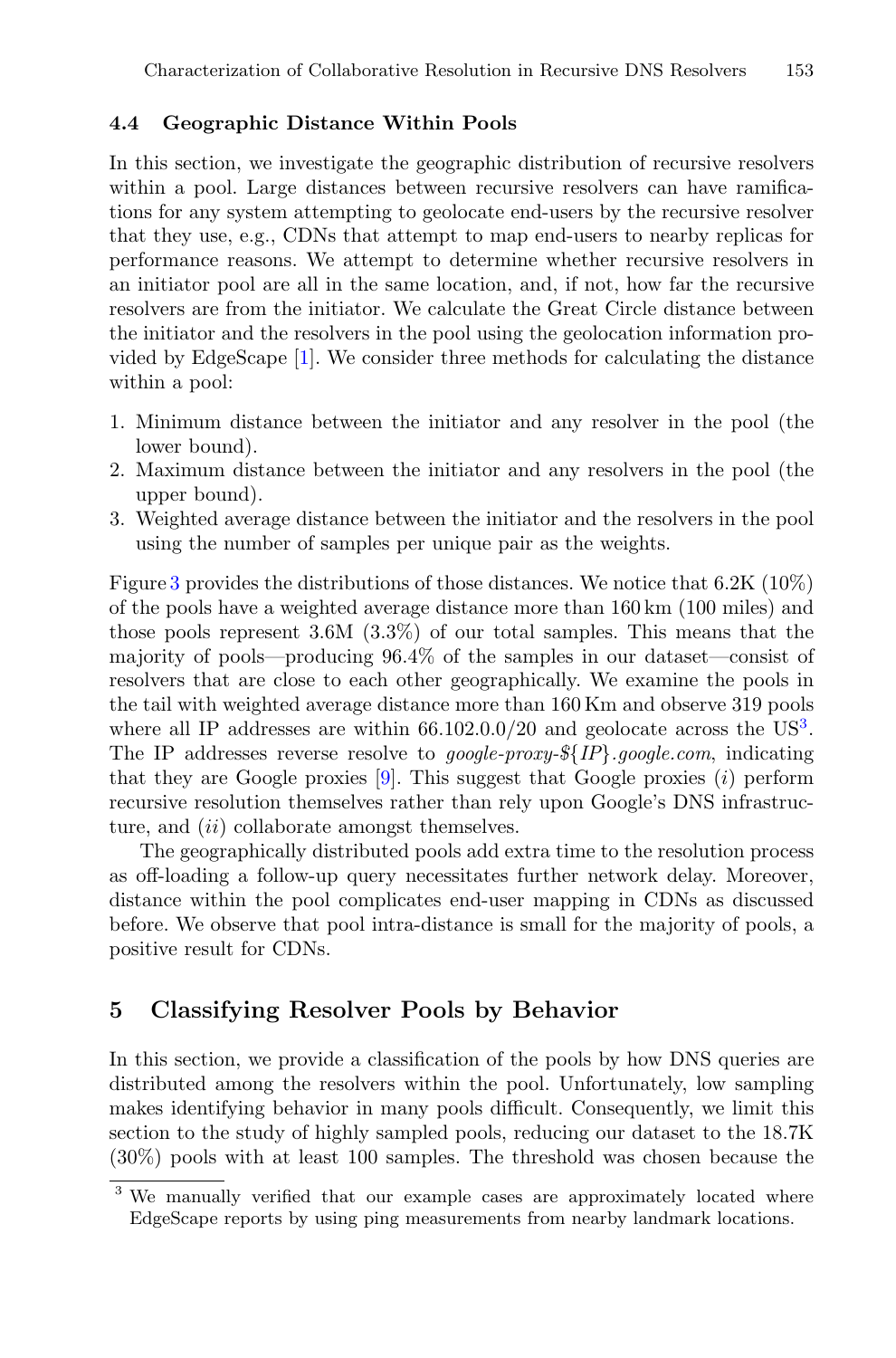#### <span id="page-7-1"></span>**4.4 Geographic Distance Within Pools**

In this section, we investigate the geographic distribution of recursive resolvers within a pool. Large distances between recursive resolvers can have ramifications for any system attempting to geolocate end-users by the recursive resolver that they use, e.g., CDNs that attempt to map end-users to nearby replicas for performance reasons. We attempt to determine whether recursive resolvers in an initiator pool are all in the same location, and, if not, how far the recursive resolvers are from the initiator. We calculate the Great Circle distance between the initiator and the resolvers in the pool using the geolocation information provided by EdgeScape [\[1\]](#page-11-14). We consider three methods for calculating the distance within a pool:

- 1. Minimum distance between the initiator and any resolver in the pool (the lower bound).
- 2. Maximum distance between the initiator and any resolvers in the pool (the upper bound).
- 3. Weighted average distance between the initiator and the resolvers in the pool using the number of samples per unique pair as the weights.

Figure [3](#page-8-1) provides the distributions of those distances. We notice that 6.2K (10%) of the pools have a weighted average distance more than 160 km (100 miles) and those pools represent 3.6M (3.3%) of our total samples. This means that the majority of pools—producing 96.4% of the samples in our dataset—consist of resolvers that are close to each other geographically. We examine the pools in the tail with weighted average distance more than 160 Km and observe 319 pools where all IP addresses are within  $66.102.0.0/20$  and geolocate across the US<sup>[3](#page-7-2)</sup>. The IP addresses reverse resolve to *google-proxy-\$*{*IP*}*.google.com*, indicating that they are Google proxies  $[9]$ . This suggest that Google proxies  $(i)$  perform recursive resolution themselves rather than rely upon Google's DNS infrastructure, and *(ii)* collaborate amongst themselves.

The geographically distributed pools add extra time to the resolution process as off-loading a follow-up query necessitates further network delay. Moreover, distance within the pool complicates end-user mapping in CDNs as discussed before. We observe that pool intra-distance is small for the majority of pools, a positive result for CDNs.

### <span id="page-7-0"></span>**5 Classifying Resolver Pools by Behavior**

In this section, we provide a classification of the pools by how DNS queries are distributed among the resolvers within the pool. Unfortunately, low sampling makes identifying behavior in many pools difficult. Consequently, we limit this section to the study of highly sampled pools, reducing our dataset to the 18.7K (30%) pools with at least 100 samples. The threshold was chosen because the

<span id="page-7-2"></span><sup>&</sup>lt;sup>3</sup> We manually verified that our example cases are approximately located where EdgeScape reports by using ping measurements from nearby landmark locations.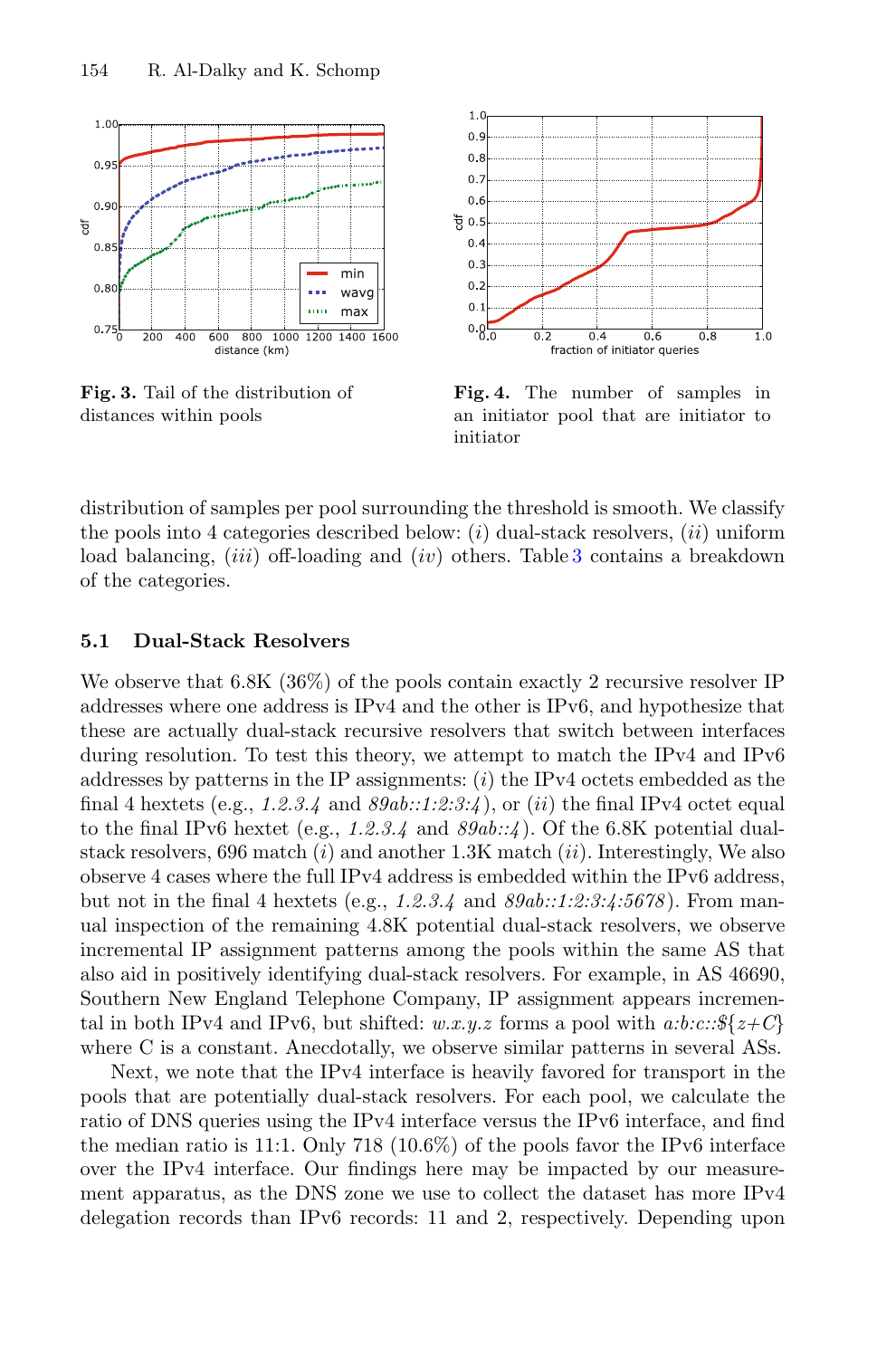

<span id="page-8-1"></span>**Fig. 3.** Tail of the distribution of distances within pools



<span id="page-8-2"></span>**Fig. 4.** The number of samples in an initiator pool that are initiator to initiator

distribution of samples per pool surrounding the threshold is smooth. We classify the pools into 4 categories described below:  $(i)$  dual-stack resolvers,  $(ii)$  uniform load balancing,  $(iii)$  off-loading and  $(iv)$  others. Table [3](#page-9-1) contains a breakdown of the categories.

#### <span id="page-8-0"></span>**5.1 Dual-Stack Resolvers**

We observe that 6.8K (36%) of the pools contain exactly 2 recursive resolver IP addresses where one address is IPv4 and the other is IPv6, and hypothesize that these are actually dual-stack recursive resolvers that switch between interfaces during resolution. To test this theory, we attempt to match the IPv4 and IPv6 addresses by patterns in the IP assignments:  $(i)$  the IPv4 octets embedded as the final 4 hextets (e.g.,  $1.2.3.4$  and  $89ab::1:2:3:4$ ), or (ii) the final IPv4 octet equal to the final IPv6 hextet (e.g., *1.2.3.4* and *89ab::4* ). Of the 6.8K potential dualstack resolvers, 696 match  $(i)$  and another 1.3K match  $(ii)$ . Interestingly, We also observe 4 cases where the full IPv4 address is embedded within the IPv6 address, but not in the final 4 hextets (e.g., *1.2.3.4* and *89ab::1:2:3:4:5678* ). From manual inspection of the remaining 4.8K potential dual-stack resolvers, we observe incremental IP assignment patterns among the pools within the same AS that also aid in positively identifying dual-stack resolvers. For example, in AS 46690, Southern New England Telephone Company, IP assignment appears incremental in both IPv4 and IPv6, but shifted:  $w.x.y.z$  forms a pool with  $a:b:c::\$  $\{z+C\}$ where C is a constant. Anecdotally, we observe similar patterns in several ASs.

Next, we note that the IPv4 interface is heavily favored for transport in the pools that are potentially dual-stack resolvers. For each pool, we calculate the ratio of DNS queries using the IPv4 interface versus the IPv6 interface, and find the median ratio is 11:1. Only 718 (10.6%) of the pools favor the IPv6 interface over the IPv4 interface. Our findings here may be impacted by our measurement apparatus, as the DNS zone we use to collect the dataset has more IPv4 delegation records than IPv6 records: 11 and 2, respectively. Depending upon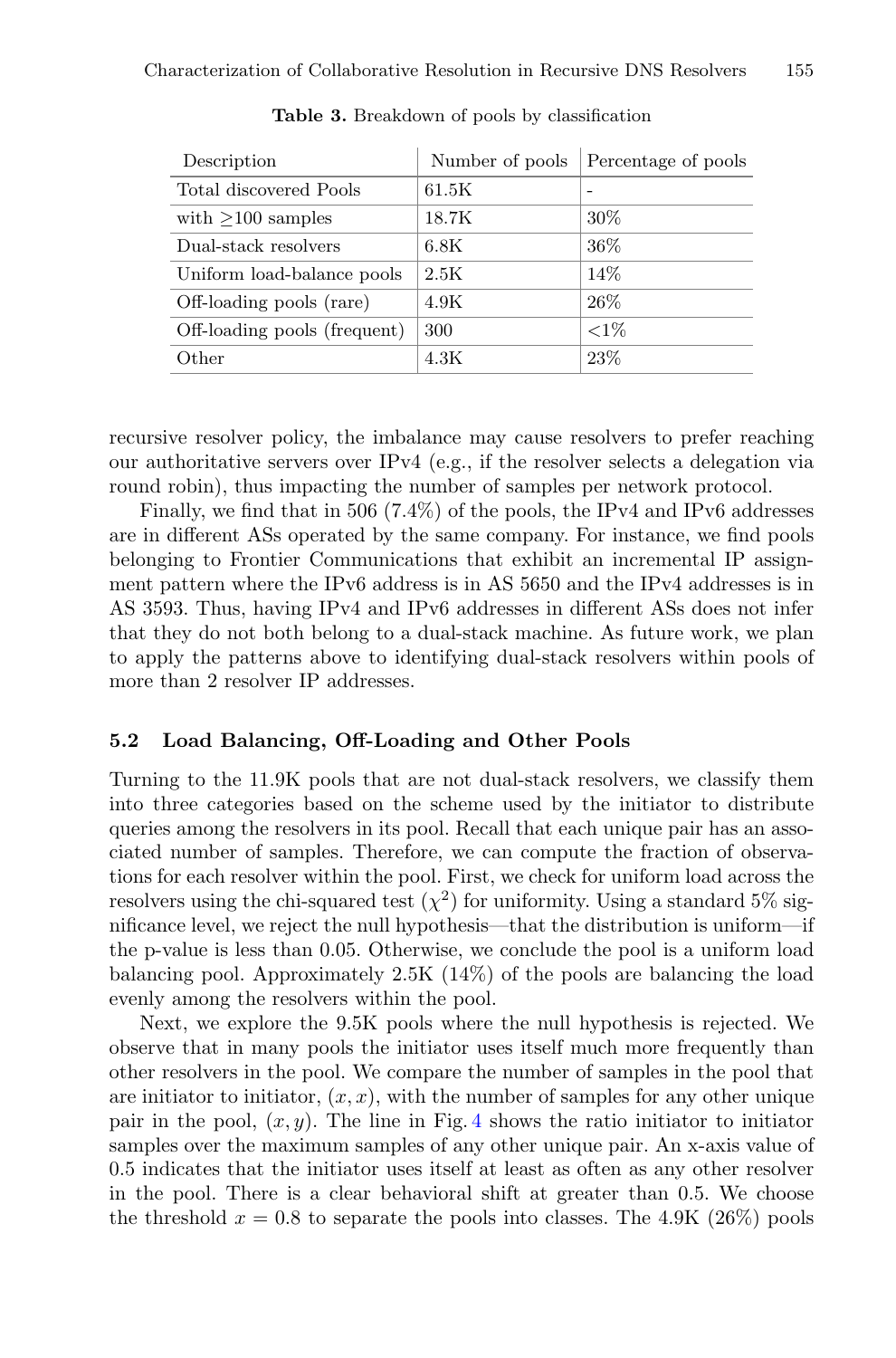| Description                  | Number of pools | Percentage of pools |
|------------------------------|-----------------|---------------------|
| Total discovered Pools       | 61.5K           |                     |
| with $>100$ samples          | 18.7K           | $30\%$              |
| Dual-stack resolvers         | 6.8K            | $36\%$              |
| Uniform load-balance pools   | 2.5K            | 14\%                |
| Off-loading pools (rare)     | 4.9K            | 26%                 |
| Off-loading pools (frequent) | 300             | ${<}1\%$            |
| Other                        | 4.3K            | 23\%                |

<span id="page-9-1"></span>**Table 3.** Breakdown of pools by classification

recursive resolver policy, the imbalance may cause resolvers to prefer reaching our authoritative servers over IPv4 (e.g., if the resolver selects a delegation via round robin), thus impacting the number of samples per network protocol.

Finally, we find that in 506 (7.4%) of the pools, the IPv4 and IPv6 addresses are in different ASs operated by the same company. For instance, we find pools belonging to Frontier Communications that exhibit an incremental IP assignment pattern where the IPv6 address is in AS 5650 and the IPv4 addresses is in AS 3593. Thus, having IPv4 and IPv6 addresses in different ASs does not infer that they do not both belong to a dual-stack machine. As future work, we plan to apply the patterns above to identifying dual-stack resolvers within pools of more than 2 resolver IP addresses.

#### <span id="page-9-0"></span>**5.2 Load Balancing, Off-Loading and Other Pools**

Turning to the 11.9K pools that are not dual-stack resolvers, we classify them into three categories based on the scheme used by the initiator to distribute queries among the resolvers in its pool. Recall that each unique pair has an associated number of samples. Therefore, we can compute the fraction of observations for each resolver within the pool. First, we check for uniform load across the resolvers using the chi-squared test  $(\chi^2)$  for uniformity. Using a standard 5% significance level, we reject the null hypothesis—that the distribution is uniform—if the p-value is less than 0.05. Otherwise, we conclude the pool is a uniform load balancing pool. Approximately 2.5K (14%) of the pools are balancing the load evenly among the resolvers within the pool.

Next, we explore the 9.5K pools where the null hypothesis is rejected. We observe that in many pools the initiator uses itself much more frequently than other resolvers in the pool. We compare the number of samples in the pool that are initiator to initiator,  $(x, x)$ , with the number of samples for any other unique pair in the pool,  $(x, y)$ . The line in Fig. [4](#page-8-2) shows the ratio initiator to initiator samples over the maximum samples of any other unique pair. An x-axis value of 0.5 indicates that the initiator uses itself at least as often as any other resolver in the pool. There is a clear behavioral shift at greater than 0.5. We choose the threshold  $x = 0.8$  to separate the pools into classes. The 4.9K (26%) pools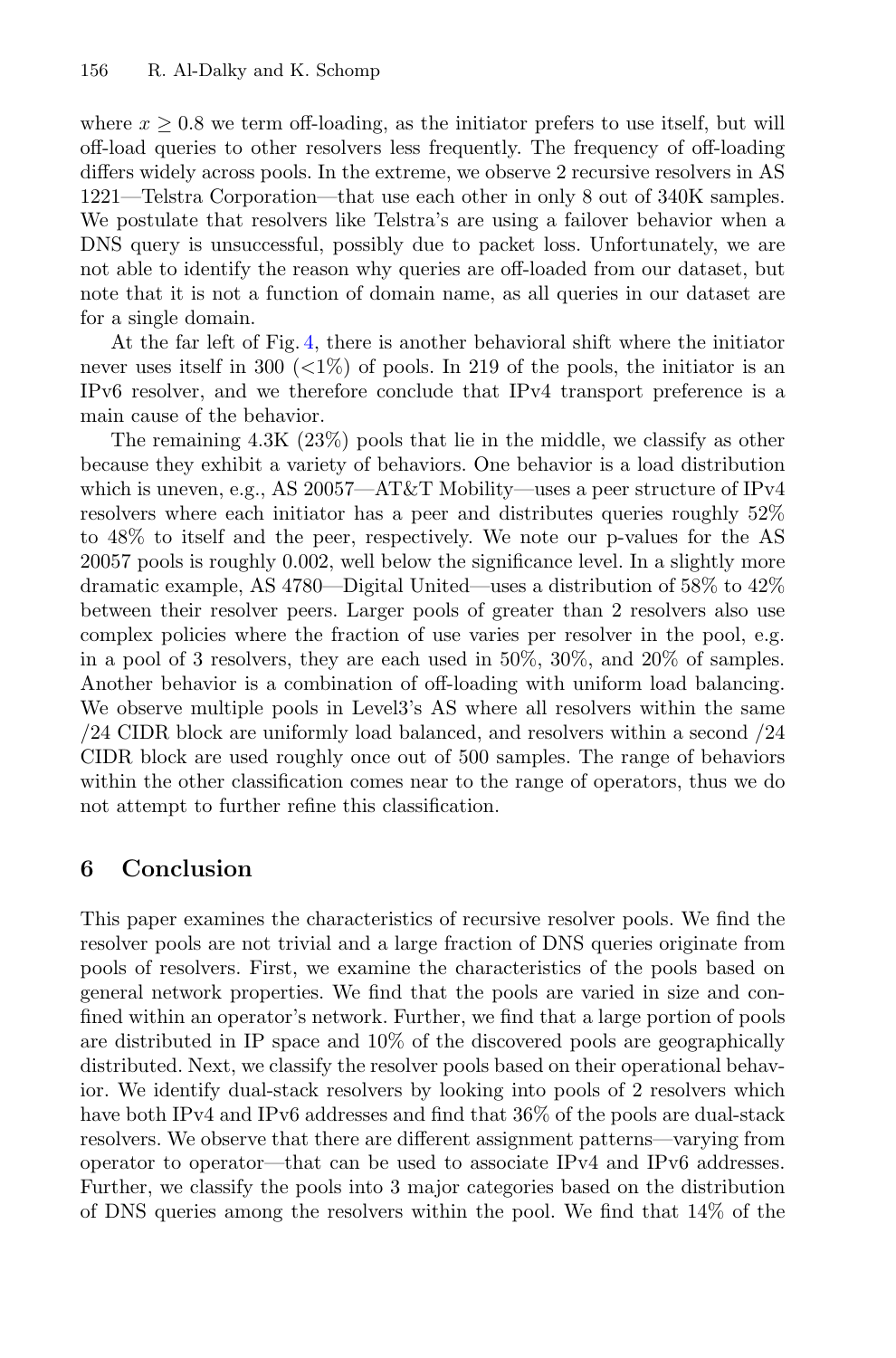where  $x \geq 0.8$  we term off-loading, as the initiator prefers to use itself, but will off-load queries to other resolvers less frequently. The frequency of off-loading differs widely across pools. In the extreme, we observe 2 recursive resolvers in AS 1221—Telstra Corporation—that use each other in only 8 out of 340K samples. We postulate that resolvers like Telstra's are using a failover behavior when a DNS query is unsuccessful, possibly due to packet loss. Unfortunately, we are not able to identify the reason why queries are off-loaded from our dataset, but note that it is not a function of domain name, as all queries in our dataset are for a single domain.

At the far left of Fig. [4,](#page-8-2) there is another behavioral shift where the initiator never uses itself in 300  $\left($ <1%) of pools. In 219 of the pools, the initiator is an IPv6 resolver, and we therefore conclude that IPv4 transport preference is a main cause of the behavior.

The remaining 4.3K (23%) pools that lie in the middle, we classify as other because they exhibit a variety of behaviors. One behavior is a load distribution which is uneven, e.g., AS 20057—AT&T Mobility—uses a peer structure of IPv4 resolvers where each initiator has a peer and distributes queries roughly 52% to 48% to itself and the peer, respectively. We note our p-values for the AS 20057 pools is roughly 0.002, well below the significance level. In a slightly more dramatic example, AS 4780—Digital United—uses a distribution of 58% to 42% between their resolver peers. Larger pools of greater than 2 resolvers also use complex policies where the fraction of use varies per resolver in the pool, e.g. in a pool of 3 resolvers, they are each used in 50%, 30%, and 20% of samples. Another behavior is a combination of off-loading with uniform load balancing. We observe multiple pools in Level3's AS where all resolvers within the same /24 CIDR block are uniformly load balanced, and resolvers within a second /24 CIDR block are used roughly once out of 500 samples. The range of behaviors within the other classification comes near to the range of operators, thus we do not attempt to further refine this classification.

## <span id="page-10-0"></span>**6 Conclusion**

This paper examines the characteristics of recursive resolver pools. We find the resolver pools are not trivial and a large fraction of DNS queries originate from pools of resolvers. First, we examine the characteristics of the pools based on general network properties. We find that the pools are varied in size and confined within an operator's network. Further, we find that a large portion of pools are distributed in IP space and 10% of the discovered pools are geographically distributed. Next, we classify the resolver pools based on their operational behavior. We identify dual-stack resolvers by looking into pools of 2 resolvers which have both IPv4 and IPv6 addresses and find that  $36\%$  of the pools are dual-stack resolvers. We observe that there are different assignment patterns—varying from operator to operator—that can be used to associate IPv4 and IPv6 addresses. Further, we classify the pools into 3 major categories based on the distribution of DNS queries among the resolvers within the pool. We find that 14% of the